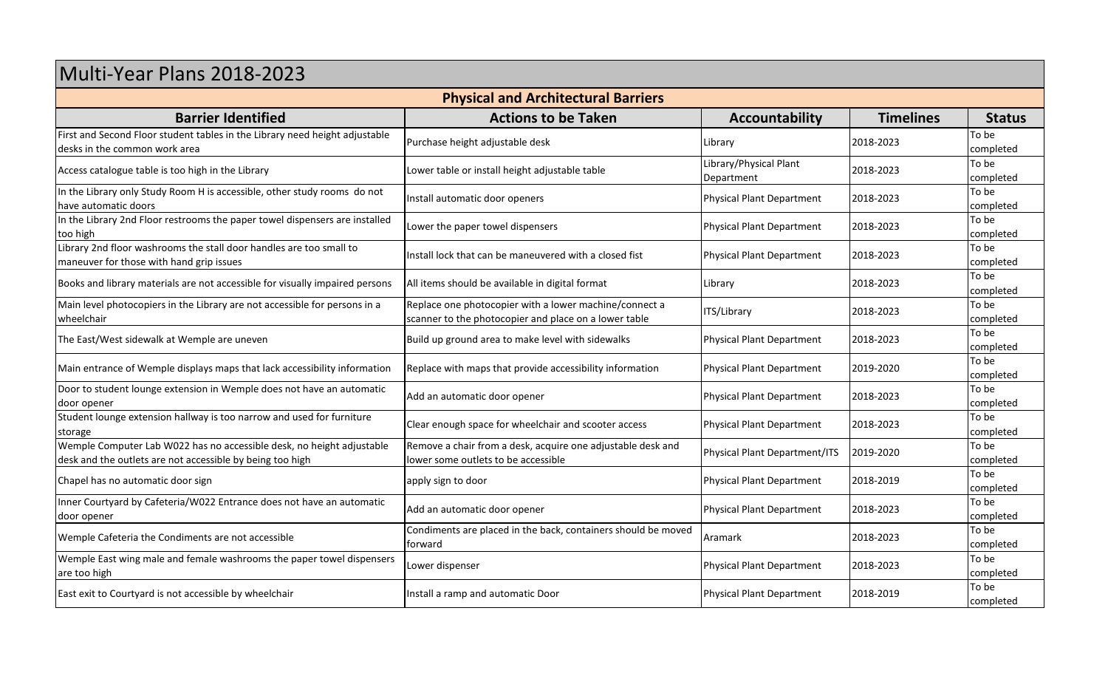## Multi-Year Plans 2018-2023 **Physical and Architectural Barriers Barrier Identified Actions to be Taken Accountability Timelines Status** First and Second Floor student tables in the Library need height adjustable **Purchase height adjustable desk Library and Second Purchase in the Complete and Second Floor Second Purchase in the Complete and Second in the** |<br>|Access catalogue table is too high in the Library | Lower table or install height adjustable table | Library/Physical Plant Department In the Library only Study Room H is accessible, other study rooms do not linstall automatic door openers and the study of the study rooms of the study rooms of the study automatic door openers and the physical Plant Depart In the Library 2nd Floor restrooms the paper towel dispensers are installed Library 2nd floor washrooms the stall door handles are too small to Main level photocopiers in the Library are not accessible for persons in a Replace one photocopier with a lower machine/connect a

| have automatic doors                                                                                                               | notan aatomatic aoor openers                                                                                    | . , , ,                          |           | completed          |
|------------------------------------------------------------------------------------------------------------------------------------|-----------------------------------------------------------------------------------------------------------------|----------------------------------|-----------|--------------------|
| In the Library 2nd Floor restrooms the paper towel dispensers are installed<br>too high                                            | Lower the paper towel dispensers                                                                                | <b>Physical Plant Department</b> | 2018-2023 | To be<br>completed |
| Library 2nd floor washrooms the stall door handles are too small to<br>maneuver for those with hand grip issues                    | Install lock that can be maneuvered with a closed fist                                                          | <b>Physical Plant Department</b> | 2018-2023 | To be<br>completed |
| Books and library materials are not accessible for visually impaired persons                                                       | All items should be available in digital format                                                                 | Library                          | 2018-2023 | To be<br>completed |
| Main level photocopiers in the Library are not accessible for persons in a<br>wheelchair                                           | Replace one photocopier with a lower machine/connect a<br>scanner to the photocopier and place on a lower table | ITS/Library                      | 2018-2023 | To be<br>completed |
| The East/West sidewalk at Wemple are uneven                                                                                        | Build up ground area to make level with sidewalks                                                               | <b>Physical Plant Department</b> | 2018-2023 | To be<br>completed |
| Main entrance of Wemple displays maps that lack accessibility information                                                          | Replace with maps that provide accessibility information                                                        | <b>Physical Plant Department</b> | 2019-2020 | To be<br>completed |
| Door to student lounge extension in Wemple does not have an automatic<br>door opener                                               | Add an automatic door opener                                                                                    | <b>Physical Plant Department</b> | 2018-2023 | To be<br>completed |
| Student lounge extension hallway is too narrow and used for furniture<br>storage                                                   | Clear enough space for wheelchair and scooter access                                                            | <b>Physical Plant Department</b> | 2018-2023 | To be<br>completed |
| Wemple Computer Lab W022 has no accessible desk, no height adjustable<br>desk and the outlets are not accessible by being too high | Remove a chair from a desk, acquire one adjustable desk and<br>lower some outlets to be accessible              | Physical Plant Department/ITS    | 2019-2020 | To be<br>completed |
| Chapel has no automatic door sign                                                                                                  | apply sign to door                                                                                              | <b>Physical Plant Department</b> | 2018-2019 | To be<br>completed |
| Inner Courtyard by Cafeteria/W022 Entrance does not have an automatic<br>door opener                                               | Add an automatic door opener                                                                                    | <b>Physical Plant Department</b> | 2018-2023 | To be<br>completed |
| Wemple Cafeteria the Condiments are not accessible                                                                                 | Condiments are placed in the back, containers should be moved<br>forward                                        | Aramark                          | 2018-2023 | To be<br>completed |
| Wemple East wing male and female washrooms the paper towel dispensers<br>are too high                                              | Lower dispenser                                                                                                 | <b>Physical Plant Department</b> | 2018-2023 | To be<br>completed |
| East exit to Courtyard is not accessible by wheelchair                                                                             | Install a ramp and automatic Door                                                                               | <b>Physical Plant Department</b> | 2018-2019 | To be<br>completed |

completed

completed

 $2018 - 2023$  To be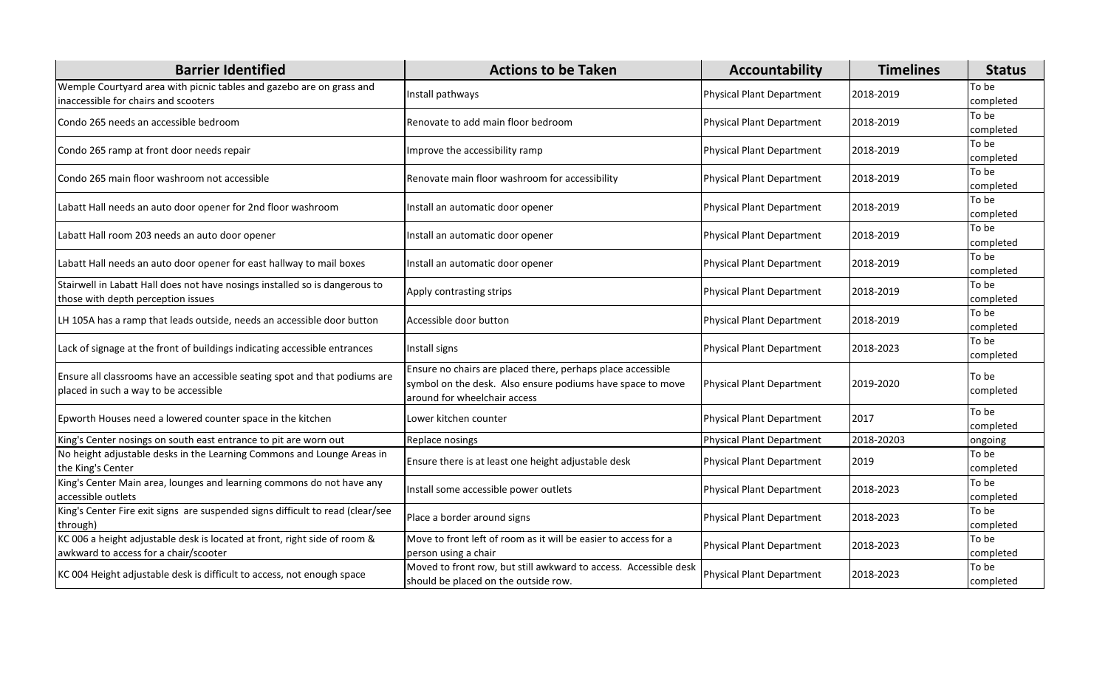| <b>Barrier Identified</b>                                                                                           | <b>Actions to be Taken</b>                                                                                                                                | Accountability            | <b>Timelines</b> | <b>Status</b>      |
|---------------------------------------------------------------------------------------------------------------------|-----------------------------------------------------------------------------------------------------------------------------------------------------------|---------------------------|------------------|--------------------|
| Wemple Courtyard area with picnic tables and gazebo are on grass and<br>inaccessible for chairs and scooters        | Install pathways                                                                                                                                          | Physical Plant Department | 2018-2019        | To be<br>completed |
| Condo 265 needs an accessible bedroom                                                                               | Renovate to add main floor bedroom                                                                                                                        | Physical Plant Department | 2018-2019        | To be<br>completed |
| Condo 265 ramp at front door needs repair                                                                           | Improve the accessibility ramp                                                                                                                            | Physical Plant Department | 2018-2019        | To be<br>completed |
| Condo 265 main floor washroom not accessible                                                                        | Renovate main floor washroom for accessibility                                                                                                            | Physical Plant Department | 2018-2019        | To be<br>completed |
| Labatt Hall needs an auto door opener for 2nd floor washroom                                                        | Install an automatic door opener                                                                                                                          | Physical Plant Department | 2018-2019        | To be<br>completed |
| Labatt Hall room 203 needs an auto door opener                                                                      | Install an automatic door opener                                                                                                                          | Physical Plant Department | 2018-2019        | To be<br>completed |
| Labatt Hall needs an auto door opener for east hallway to mail boxes                                                | Install an automatic door opener                                                                                                                          | Physical Plant Department | 2018-2019        | To be<br>completed |
| Stairwell in Labatt Hall does not have nosings installed so is dangerous to<br>those with depth perception issues   | Apply contrasting strips                                                                                                                                  | Physical Plant Department | 2018-2019        | To be<br>completed |
| LH 105A has a ramp that leads outside, needs an accessible door button                                              | Accessible door button                                                                                                                                    | Physical Plant Department | 2018-2019        | To be<br>completed |
| Lack of signage at the front of buildings indicating accessible entrances                                           | Install signs                                                                                                                                             | Physical Plant Department | 2018-2023        | To be<br>completed |
| Ensure all classrooms have an accessible seating spot and that podiums are<br>placed in such a way to be accessible | Ensure no chairs are placed there, perhaps place accessible<br>symbol on the desk. Also ensure podiums have space to move<br>around for wheelchair access | Physical Plant Department | 2019-2020        | To be<br>completed |
| Epworth Houses need a lowered counter space in the kitchen                                                          | Lower kitchen counter                                                                                                                                     | Physical Plant Department | 2017             | To be<br>completed |
| King's Center nosings on south east entrance to pit are worn out                                                    | Replace nosings                                                                                                                                           | Physical Plant Department | 2018-20203       | ongoing            |
| No height adjustable desks in the Learning Commons and Lounge Areas in<br>the King's Center                         | Ensure there is at least one height adjustable desk                                                                                                       | Physical Plant Department | 2019             | To be<br>completed |
| King's Center Main area, lounges and learning commons do not have any<br>accessible outlets                         | Install some accessible power outlets                                                                                                                     | Physical Plant Department | 2018-2023        | To be<br>completed |
| King's Center Fire exit signs are suspended signs difficult to read (clear/see<br>through)                          | Place a border around signs                                                                                                                               | Physical Plant Department | 2018-2023        | To be<br>completed |
| KC 006 a height adjustable desk is located at front, right side of room &<br>awkward to access for a chair/scooter  | Move to front left of room as it will be easier to access for a<br>person using a chair                                                                   | Physical Plant Department | 2018-2023        | To be<br>completed |
| KC 004 Height adjustable desk is difficult to access, not enough space                                              | Moved to front row, but still awkward to access. Accessible desk<br>should be placed on the outside row.                                                  | Physical Plant Department | 2018-2023        | To be<br>completed |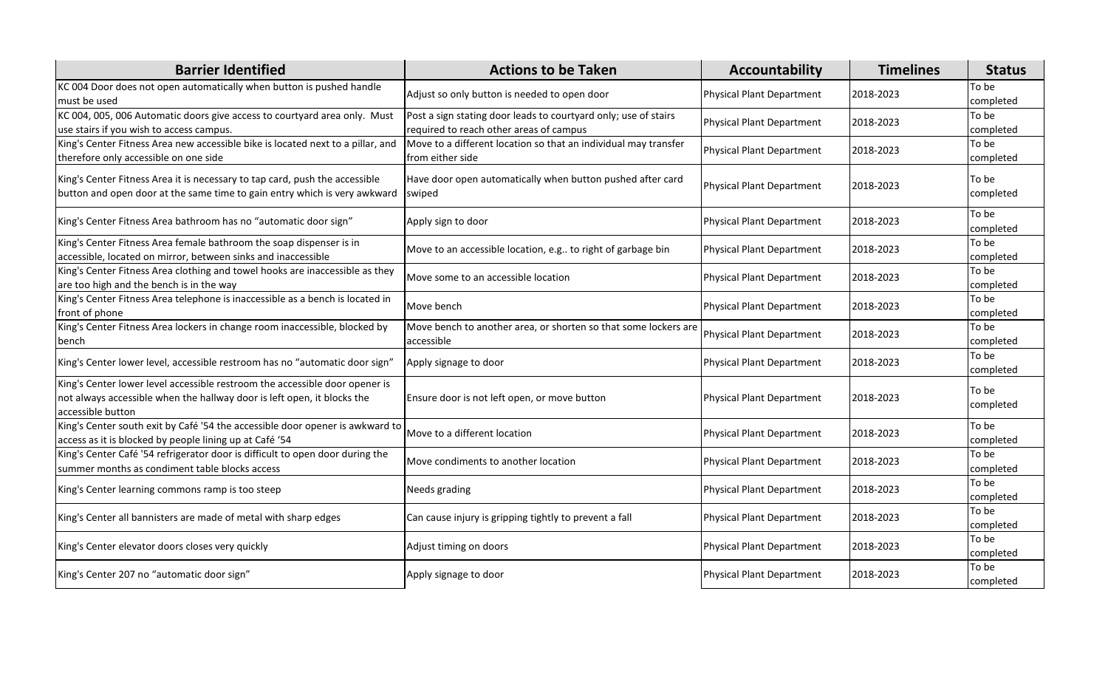| <b>Barrier Identified</b>                                                                                                                                                   | <b>Actions to be Taken</b>                                                                                 | Accountability            | <b>Timelines</b> | <b>Status</b>      |
|-----------------------------------------------------------------------------------------------------------------------------------------------------------------------------|------------------------------------------------------------------------------------------------------------|---------------------------|------------------|--------------------|
| KC 004 Door does not open automatically when button is pushed handle<br>must be used                                                                                        | Adjust so only button is needed to open door                                                               | Physical Plant Department | 2018-2023        | To be<br>completed |
| KC 004, 005, 006 Automatic doors give access to courtyard area only. Must<br>use stairs if you wish to access campus.                                                       | Post a sign stating door leads to courtyard only; use of stairs<br>required to reach other areas of campus | Physical Plant Department | 2018-2023        | To be<br>completed |
| King's Center Fitness Area new accessible bike is located next to a pillar, and<br>therefore only accessible on one side                                                    | Move to a different location so that an individual may transfer<br>from either side                        | Physical Plant Department | 2018-2023        | To be<br>completed |
| King's Center Fitness Area it is necessary to tap card, push the accessible<br>button and open door at the same time to gain entry which is very awkward                    | Have door open automatically when button pushed after card<br>swiped                                       | Physical Plant Department | 2018-2023        | To be<br>completed |
| King's Center Fitness Area bathroom has no "automatic door sign"                                                                                                            | Apply sign to door                                                                                         | Physical Plant Department | 2018-2023        | To be<br>completed |
| King's Center Fitness Area female bathroom the soap dispenser is in<br>accessible, located on mirror, between sinks and inaccessible                                        | Move to an accessible location, e.g to right of garbage bin                                                | Physical Plant Department | 2018-2023        | To be<br>completed |
| King's Center Fitness Area clothing and towel hooks are inaccessible as they<br>are too high and the bench is in the way                                                    | Move some to an accessible location                                                                        | Physical Plant Department | 2018-2023        | To be<br>completed |
| King's Center Fitness Area telephone is inaccessible as a bench is located in<br>front of phone                                                                             | Move bench                                                                                                 | Physical Plant Department | 2018-2023        | To be<br>completed |
| King's Center Fitness Area lockers in change room inaccessible, blocked by<br>bench                                                                                         | Move bench to another area, or shorten so that some lockers are<br>accessible                              | Physical Plant Department | 2018-2023        | To be<br>completed |
| King's Center lower level, accessible restroom has no "automatic door sign"                                                                                                 | Apply signage to door                                                                                      | Physical Plant Department | 2018-2023        | To be<br>completed |
| King's Center lower level accessible restroom the accessible door opener is<br>not always accessible when the hallway door is left open, it blocks the<br>accessible button | Ensure door is not left open, or move button                                                               | Physical Plant Department | 2018-2023        | To be<br>completed |
| King's Center south exit by Café '54 the accessible door opener is awkward to<br>access as it is blocked by people lining up at Café '54                                    | Move to a different location                                                                               | Physical Plant Department | 2018-2023        | To be<br>completed |
| King's Center Café '54 refrigerator door is difficult to open door during the<br>summer months as condiment table blocks access                                             | Move condiments to another location                                                                        | Physical Plant Department | 2018-2023        | To be<br>completed |
| King's Center learning commons ramp is too steep                                                                                                                            | Needs grading                                                                                              | Physical Plant Department | 2018-2023        | To be<br>completed |
| King's Center all bannisters are made of metal with sharp edges                                                                                                             | Can cause injury is gripping tightly to prevent a fall                                                     | Physical Plant Department | 2018-2023        | To be<br>completed |
| King's Center elevator doors closes very quickly                                                                                                                            | Adjust timing on doors                                                                                     | Physical Plant Department | 2018-2023        | To be<br>completed |
| King's Center 207 no "automatic door sign"                                                                                                                                  | Apply signage to door                                                                                      | Physical Plant Department | 2018-2023        | To be<br>completed |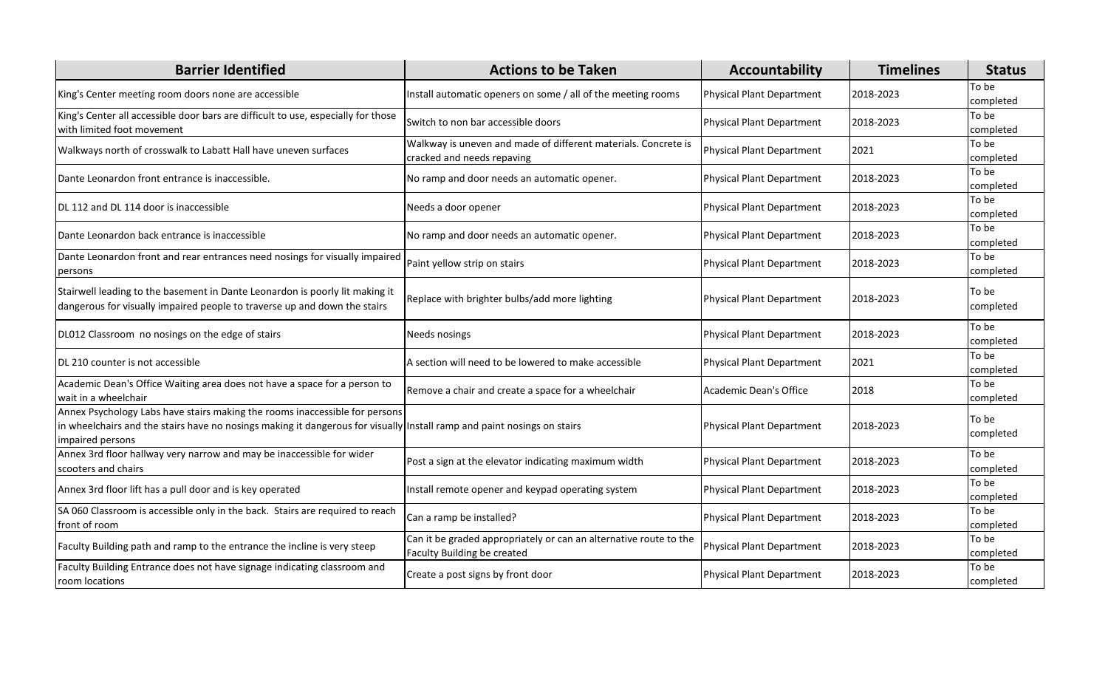| <b>Barrier Identified</b>                                                                                                                                                                                                  | <b>Actions to be Taken</b>                                                                       | Accountability            | <b>Timelines</b> | <b>Status</b>      |
|----------------------------------------------------------------------------------------------------------------------------------------------------------------------------------------------------------------------------|--------------------------------------------------------------------------------------------------|---------------------------|------------------|--------------------|
| King's Center meeting room doors none are accessible                                                                                                                                                                       | Install automatic openers on some / all of the meeting rooms                                     | Physical Plant Department | 2018-2023        | To be<br>completed |
| King's Center all accessible door bars are difficult to use, especially for those<br>with limited foot movement                                                                                                            | Switch to non bar accessible doors                                                               | Physical Plant Department | 2018-2023        | To be<br>completed |
| Walkways north of crosswalk to Labatt Hall have uneven surfaces                                                                                                                                                            | Walkway is uneven and made of different materials. Concrete is<br>cracked and needs repaving     | Physical Plant Department | 2021             | To be<br>completed |
| Dante Leonardon front entrance is inaccessible.                                                                                                                                                                            | No ramp and door needs an automatic opener.                                                      | Physical Plant Department | 2018-2023        | To be<br>completed |
| DL 112 and DL 114 door is inaccessible                                                                                                                                                                                     | Needs a door opener                                                                              | Physical Plant Department | 2018-2023        | To be<br>completed |
| Dante Leonardon back entrance is inaccessible                                                                                                                                                                              | No ramp and door needs an automatic opener.                                                      | Physical Plant Department | 2018-2023        | To be<br>completed |
| Dante Leonardon front and rear entrances need nosings for visually impaired<br>persons                                                                                                                                     | Paint yellow strip on stairs                                                                     | Physical Plant Department | 2018-2023        | To be<br>completed |
| Stairwell leading to the basement in Dante Leonardon is poorly lit making it<br>dangerous for visually impaired people to traverse up and down the stairs                                                                  | Replace with brighter bulbs/add more lighting                                                    | Physical Plant Department | 2018-2023        | To be<br>completed |
| DL012 Classroom no nosings on the edge of stairs                                                                                                                                                                           | Needs nosings                                                                                    | Physical Plant Department | 2018-2023        | To be<br>completed |
| DL 210 counter is not accessible                                                                                                                                                                                           | A section will need to be lowered to make accessible                                             | Physical Plant Department | 2021             | To be<br>completed |
| Academic Dean's Office Waiting area does not have a space for a person to<br>wait in a wheelchair                                                                                                                          | Remove a chair and create a space for a wheelchair                                               | l Academic Dean's Office  | 2018             | To be<br>completed |
| Annex Psychology Labs have stairs making the rooms inaccessible for persons<br>in wheelchairs and the stairs have no nosings making it dangerous for visually Install ramp and paint nosings on stairs<br>impaired persons |                                                                                                  | Physical Plant Department | 2018-2023        | To be<br>completed |
| Annex 3rd floor hallway very narrow and may be inaccessible for wider<br>scooters and chairs                                                                                                                               | Post a sign at the elevator indicating maximum width                                             | Physical Plant Department | 2018-2023        | To be<br>completed |
| Annex 3rd floor lift has a pull door and is key operated                                                                                                                                                                   | Install remote opener and keypad operating system                                                | Physical Plant Department | 2018-2023        | To be<br>completed |
| SA 060 Classroom is accessible only in the back. Stairs are required to reach<br>front of room                                                                                                                             | Can a ramp be installed?                                                                         | Physical Plant Department | 2018-2023        | To be<br>completed |
| Faculty Building path and ramp to the entrance the incline is very steep                                                                                                                                                   | Can it be graded appropriately or can an alternative route to the<br>Faculty Building be created | Physical Plant Department | 2018-2023        | To be<br>completed |
| Faculty Building Entrance does not have signage indicating classroom and<br>room locations                                                                                                                                 | Create a post signs by front door                                                                | Physical Plant Department | 2018-2023        | To be<br>completed |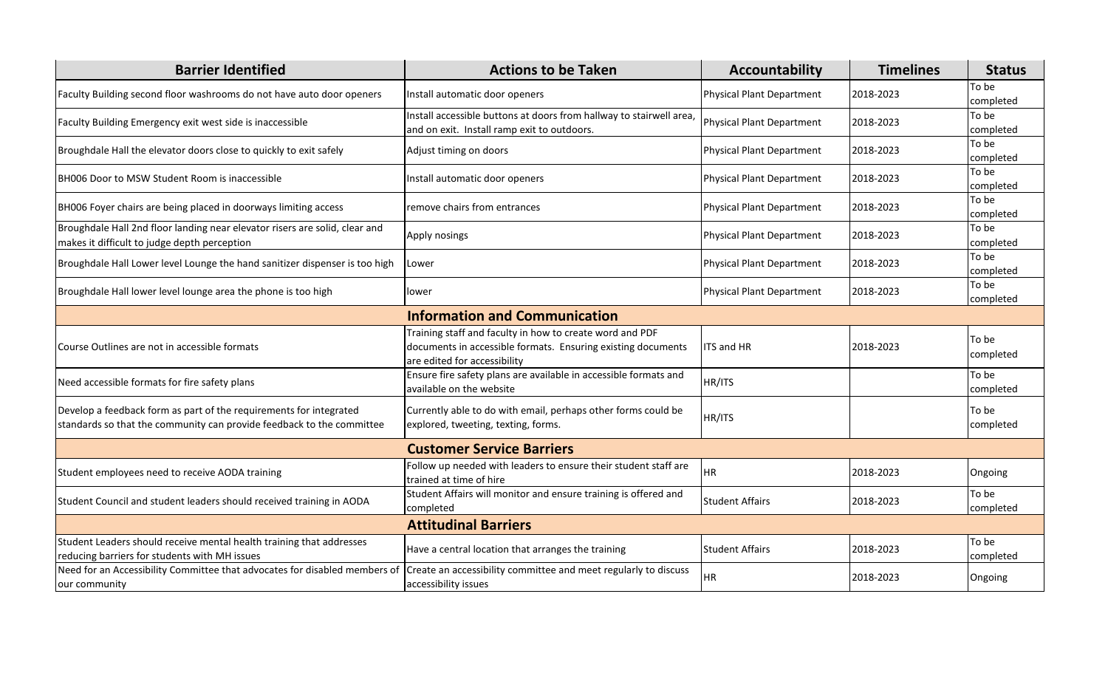| <b>Barrier Identified</b>                                                                                                                   | <b>Actions to be Taken</b>                                                                                                                               | Accountability                   | <b>Timelines</b> | <b>Status</b>      |  |
|---------------------------------------------------------------------------------------------------------------------------------------------|----------------------------------------------------------------------------------------------------------------------------------------------------------|----------------------------------|------------------|--------------------|--|
| Faculty Building second floor washrooms do not have auto door openers                                                                       | Install automatic door openers                                                                                                                           | <b>Physical Plant Department</b> | 2018-2023        | To be<br>completed |  |
| Faculty Building Emergency exit west side is inaccessible                                                                                   | Install accessible buttons at doors from hallway to stairwell area<br>and on exit. Install ramp exit to outdoors.                                        | Physical Plant Department        | 2018-2023        | To be<br>completed |  |
| Broughdale Hall the elevator doors close to quickly to exit safely                                                                          | Adjust timing on doors                                                                                                                                   | <b>Physical Plant Department</b> | 2018-2023        | To be<br>completed |  |
| BH006 Door to MSW Student Room is inaccessible                                                                                              | Install automatic door openers                                                                                                                           | <b>Physical Plant Department</b> | 2018-2023        | To be<br>completed |  |
| BH006 Foyer chairs are being placed in doorways limiting access                                                                             | remove chairs from entrances                                                                                                                             | <b>Physical Plant Department</b> | 2018-2023        | To be<br>completed |  |
| Broughdale Hall 2nd floor landing near elevator risers are solid, clear and<br>makes it difficult to judge depth perception                 | Apply nosings                                                                                                                                            | <b>Physical Plant Department</b> | 2018-2023        | To be<br>completed |  |
| Broughdale Hall Lower level Lounge the hand sanitizer dispenser is too high                                                                 | Lower                                                                                                                                                    | <b>Physical Plant Department</b> | 2018-2023        | To be<br>completed |  |
| Broughdale Hall lower level lounge area the phone is too high                                                                               | lower                                                                                                                                                    | Physical Plant Department        | 2018-2023        | To be<br>completed |  |
|                                                                                                                                             | <b>Information and Communication</b>                                                                                                                     |                                  |                  |                    |  |
| Course Outlines are not in accessible formats                                                                                               | Training staff and faculty in how to create word and PDF<br>documents in accessible formats. Ensuring existing documents<br>are edited for accessibility | <b>ITS and HR</b>                | 2018-2023        | To be<br>completed |  |
| Need accessible formats for fire safety plans                                                                                               | Ensure fire safety plans are available in accessible formats and<br>available on the website                                                             | HR/ITS                           |                  | To be<br>completed |  |
| Develop a feedback form as part of the requirements for integrated<br>standards so that the community can provide feedback to the committee | Currently able to do with email, perhaps other forms could be<br>explored, tweeting, texting, forms.                                                     | HR/ITS                           |                  | To be<br>completed |  |
| <b>Customer Service Barriers</b>                                                                                                            |                                                                                                                                                          |                                  |                  |                    |  |
| Student employees need to receive AODA training                                                                                             | Follow up needed with leaders to ensure their student staff are<br>trained at time of hire                                                               | <b>HR</b>                        | 2018-2023        | Ongoing            |  |
| Student Council and student leaders should received training in AODA                                                                        | Student Affairs will monitor and ensure training is offered and<br>completed                                                                             | <b>Student Affairs</b>           | 2018-2023        | To be<br>completed |  |
| <b>Attitudinal Barriers</b>                                                                                                                 |                                                                                                                                                          |                                  |                  |                    |  |
| Student Leaders should receive mental health training that addresses<br>reducing barriers for students with MH issues                       | Have a central location that arranges the training                                                                                                       | <b>Student Affairs</b>           | 2018-2023        | To be<br>completed |  |
| Need for an Accessibility Committee that advocates for disabled members of<br>our community                                                 | Create an accessibility committee and meet regularly to discuss<br>accessibility issues                                                                  | <b>HR</b>                        | 2018-2023        | Ongoing            |  |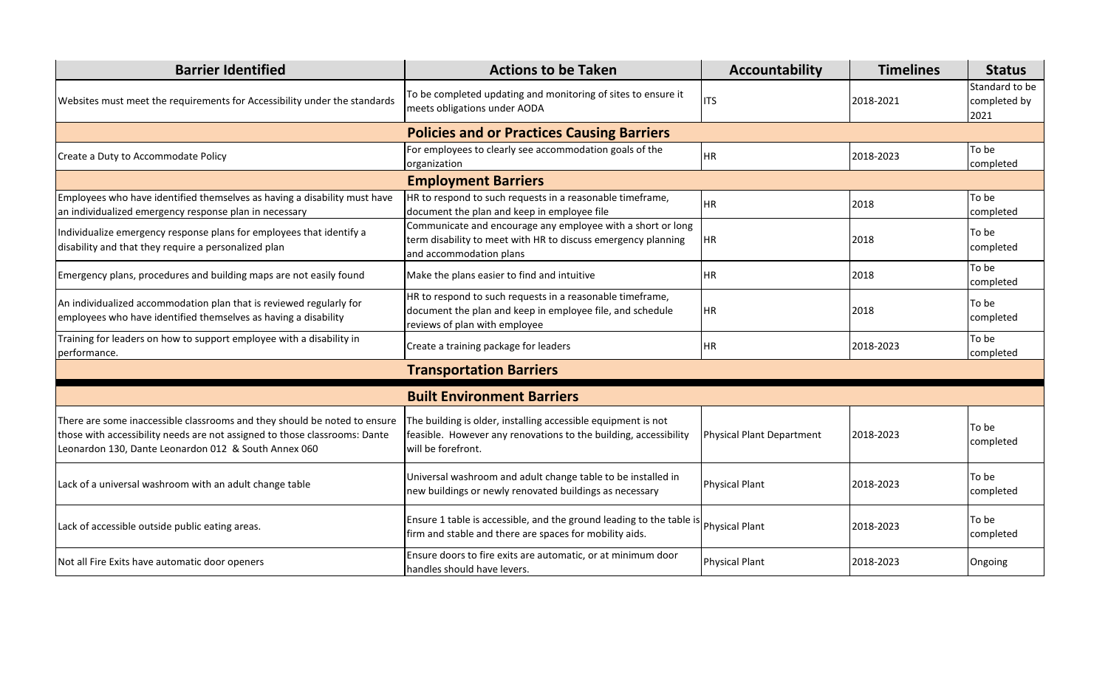| <b>Barrier Identified</b>                                                                                                                                                                                       | <b>Actions to be Taken</b>                                                                                                                              | Accountability            | <b>Timelines</b> | <b>Status</b>                          |
|-----------------------------------------------------------------------------------------------------------------------------------------------------------------------------------------------------------------|---------------------------------------------------------------------------------------------------------------------------------------------------------|---------------------------|------------------|----------------------------------------|
| Websites must meet the requirements for Accessibility under the standards                                                                                                                                       | To be completed updating and monitoring of sites to ensure it<br>meets obligations under AODA                                                           | <b>ITS</b>                | 2018-2021        | Standard to be<br>completed by<br>2021 |
|                                                                                                                                                                                                                 | <b>Policies and or Practices Causing Barriers</b>                                                                                                       |                           |                  |                                        |
| Create a Duty to Accommodate Policy                                                                                                                                                                             | For employees to clearly see accommodation goals of the<br>organization                                                                                 | <b>HR</b>                 | 2018-2023        | To be<br>completed                     |
|                                                                                                                                                                                                                 | <b>Employment Barriers</b>                                                                                                                              |                           |                  |                                        |
| Employees who have identified themselves as having a disability must have<br>an individualized emergency response plan in necessary                                                                             | HR to respond to such requests in a reasonable timeframe,<br>document the plan and keep in employee file                                                | <b>HR</b>                 | 2018             | To be<br>completed                     |
| Individualize emergency response plans for employees that identify a<br>disability and that they require a personalized plan                                                                                    | Communicate and encourage any employee with a short or long<br>term disability to meet with HR to discuss emergency planning<br>and accommodation plans | IHR.                      | 2018             | To be<br>completed                     |
| Emergency plans, procedures and building maps are not easily found                                                                                                                                              | Make the plans easier to find and intuitive                                                                                                             | <b>HR</b>                 | 2018             | To be<br>completed                     |
| An individualized accommodation plan that is reviewed regularly for<br>employees who have identified themselves as having a disability                                                                          | HR to respond to such requests in a reasonable timeframe,<br>document the plan and keep in employee file, and schedule<br>reviews of plan with employee | <b>HR</b>                 | 2018             | To be<br>completed                     |
| Training for leaders on how to support employee with a disability in<br>performance.                                                                                                                            | Create a training package for leaders                                                                                                                   | IHR.                      | 2018-2023        | To be<br>completed                     |
|                                                                                                                                                                                                                 | <b>Transportation Barriers</b>                                                                                                                          |                           |                  |                                        |
|                                                                                                                                                                                                                 | <b>Built Environment Barriers</b>                                                                                                                       |                           |                  |                                        |
| There are some inaccessible classrooms and they should be noted to ensure<br>those with accessibility needs are not assigned to those classrooms: Dante<br>Leonardon 130, Dante Leonardon 012 & South Annex 060 | The building is older, installing accessible equipment is not<br>feasible. However any renovations to the building, accessibility<br>will be forefront. | Physical Plant Department | 2018-2023        | To be<br>completed                     |
| Lack of a universal washroom with an adult change table                                                                                                                                                         | Universal washroom and adult change table to be installed in<br>new buildings or newly renovated buildings as necessary                                 | <b>Physical Plant</b>     | 2018-2023        | To be<br>completed                     |
| Lack of accessible outside public eating areas.                                                                                                                                                                 | Ensure 1 table is accessible, and the ground leading to the table is $\rvert$ Physical Plant<br>firm and stable and there are spaces for mobility aids. |                           | 2018-2023        | To be<br>completed                     |
| Not all Fire Exits have automatic door openers                                                                                                                                                                  | Ensure doors to fire exits are automatic, or at minimum door<br>handles should have levers.                                                             | <b>Physical Plant</b>     | 2018-2023        | Ongoing                                |